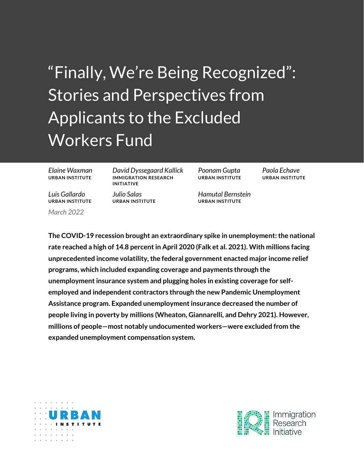# "Finally, We're Being Recognized": Stories and Perspectives from Applicants to the Excluded Workers Fund

*Elaine Waxman David Dyssegaard Kallick Poonam Gupta Paola Echave* **URBAN INSTITUTE IMMIGRATION RESEARCH URBAN INSTITUTE URBAN INSTITUTE INITIATIVE**

*March 2022*

*Luis Gallardo Julio Salas Hamutal Bernstein* **URBAN INSTITUTE URBAN INSTITUTE URBAN INSTITUTE**

**The COVID-19 recession brought an extraordinary spike in unemployment: the national rate reached a high of 14.8 percent in April 2020 (Falk et al. 2021). With millions facing unprecedented income volatility, the federal government enacted major income relief programs, which included expanding coverage and payments through the unemployment insurance system and plugging holes in existing coverage for selfemployed and independent contractors through the new Pandemic Unemployment Assistance program. Expanded unemployment insurance decreased the number of people living in poverty by millions (Wheaton, Giannarelli, and Dehry 2021). However, millions of people—most notably undocumented workers—were excluded from the expanded unemployment compensation system.**



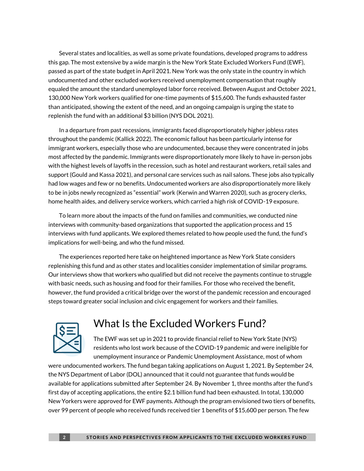Several states and localities, as well as some private foundations, developed programs to address this gap. The most extensive by a wide margin is the New York State Excluded Workers Fund (EWF), passed as part of the state budget in April 2021. New York was the only state in the country in which undocumented and other excluded workers received unemployment compensation that roughly equaled the amount the standard unemployed labor force received. Between August and October 2021, 130,000 New York workers qualified for one-time payments of \$15,600. The funds exhausted faster than anticipated, showing the extent of the need, and an ongoing campaign is urging the state to replenish the fund with an additional \$3 billion (NYS DOL 2021).

In a departure from past recessions, immigrants faced disproportionately higher jobless rates throughout the pandemic (Kallick 2022). The economic fallout has been particularly intense for immigrant workers, especially those who are undocumented, because they were concentrated in jobs most affected by the pandemic. Immigrants were disproportionately more likely to have in-person jobs with the highest levels of layoffs in the recession, such as hotel and restaurant workers, retail sales and support (Gould and Kassa 2021), and personal care services such as nail salons. These jobs also typically had low wages and few or no benefits. Undocumented workers are also disproportionately more likely to be in jobs newly recognized as "essential" work (Kerwin and Warren 2020), such as grocery clerks, home health aides, and delivery service workers, which carried a high risk of COVID-19 exposure.

To learn more about the impacts of the fund on families and communities, we conducted nine interviews with community-based organizations that supported the application process and 15 interviews with fund applicants. We explored themes related to how people used the fund, the fund's implications for well-being, and who the fund missed.

The experiences reported here take on heightened importance as New York State considers replenishing this fund and as other states and localities consider implementation of similar programs. Our interviews show that workers who qualified but did not receive the payments continue to struggle with basic needs, such as housing and food for their families. For those who received the benefit, however, the fund provided a critical bridge over the worst of the pandemic recession and encouraged steps toward greater social inclusion and civic engagement for workers and their families.



## What Is the Excluded Workers Fund?

The EWF was set up in 2021 to provide financial relief to New York State (NYS) residents who lost work because of the COVID-19 pandemic and were ineligible for unemployment insurance or Pandemic Unemployment Assistance, most of whom

were undocumented workers. The fund began taking applications on August 1, 2021. By September 24, the NYS Department of Labor (DOL) announced that it could not guarantee that funds would be available for applications submitted after September 24. By November 1, three months after the fund's first day of accepting applications, the entire \$2.1 billion fund had been exhausted. In total, 130,000 New Yorkers were approved for EWF payments. Although the program envisioned two tiers of benefits, over 99 percent of people who received funds received tier 1 benefits of \$15,600 per person. The few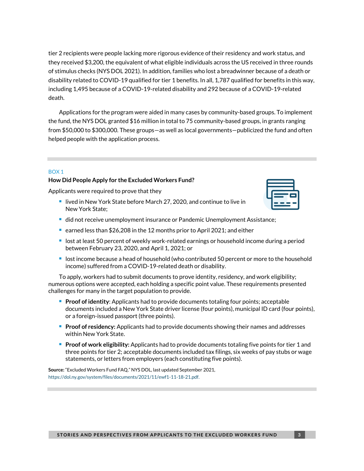tier 2 recipients were people lacking more rigorous evidence of their residency and work status, and they received \$3,200, the equivalent of what eligible individuals across the US received in three rounds of stimulus checks (NYS DOL 2021). In addition, families who lost a breadwinner because of a death or disability related to COVID-19 qualified for tier 1 benefits. In all, 1,787 qualified for benefits in this way, including 1,495 because of a COVID-19-related disability and 292 because of a COVID-19-related death.

Applications for the program were aided in many cases by community-based groups. To implement the fund, the NYS DOL granted \$16 million in total to 75 community-based groups, in grants ranging from \$50,000 to \$300,000. These groups—as well as local governments—publicized the fund and often helped people with the application process.

#### BOX 1

#### **How Did People Apply for the Excluded Workers Fund?**

Applicants were required to prove that they

■ lived in New York State before March 27, 2020, and continue to live in New York State;



- did not receive unemployment insurance or Pandemic Unemployment Assistance;
- earned less than \$26,208 in the 12 months prior to April 2021; and either
- lost at least 50 percent of weekly work-related earnings or household income during a period between February 23, 2020, and April 1, 2021; or
- lost income because a head of household (who contributed 50 percent or more to the household income) suffered from a COVID-19-related death or disability.

To apply, workers had to submit documents to prove identity, residency, and work eligibility; numerous options were accepted, each holding a specific point value. These requirements presented challenges for many in the target population to provide.

- **Proof of identity**: Applicants had to provide documents totaling four points; acceptable documents included a New York State driver license (four points), municipal ID card (four points), or a foreign-issued passport (three points).
- **Proof of residency:** Applicants had to provide documents showing their names and addresses within New York State.
- **Proof of work eligibility:** Applicants had to provide documents totaling five points for tier 1 and three points for tier 2; acceptable documents included tax filings, six weeks of pay stubs or wage statements, or letters from employers (each constituting five points).

**Source:** "Excluded Workers Fund FAQ," NYS DOL, last updated September 2021, [https://dol.ny.gov/system/files/documents/2021/11/ewf1-11-18-21.pdf.](https://dol.ny.gov/system/files/documents/2021/11/ewf1-11-18-21.pdf)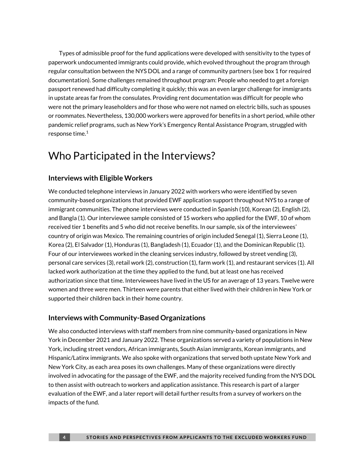Types of admissible proof for the fund applications were developed with sensitivity to the types of paperwork undocumented immigrants could provide, which evolved throughout the program through regular consultation between the NYS DOL and a range of community partners (see box 1 for required documentation). Some challenges remained throughout program: People who needed to get a foreign passport renewed had difficulty completing it quickly; this was an even larger challenge for immigrants in upstate areas far from the consulates. Providing rent documentation was difficult for people who were not the primary leaseholders and for those who were not named on electric bills, such as spouses or roommates. Nevertheless, 130,000 workers were approved for benefits in a short period, while other pandemic relief programs, such as New York's Emergency Rental Assistance Program, struggled with response time. $1$ 

### <span id="page-3-0"></span>Who Participated in the Interviews?

### **Interviews with Eligible Workers**

We conducted telephone interviews in January 2022 with workers who were identified by seven community-based organizations that provided EWF application support throughout NYS to a range of immigrant communities. The phone interviews were conducted in Spanish (10), Korean (2), English (2), and Bangla (1). Our interviewee sample consisted of 15 workers who applied for the EWF, 10 of whom received tier 1 benefits and 5 who did not receive benefits. In our sample, six of the interviewees' country of origin was Mexico. The remaining countries of origin included Senegal (1), Sierra Leone (1), Korea (2), El Salvador (1), Honduras (1), Bangladesh (1), Ecuador (1), and the Dominican Republic (1). Four of our interviewees worked in the cleaning services industry, followed by street vending (3), personal care services (3), retail work (2), construction (1), farm work (1), and restaurant services (1). All lacked work authorization at the time they applied to the fund, but at least one has received authorization since that time. Interviewees have lived in the US for an average of 13 years. Twelve were women and three were men. Thirteen were parents that either lived with their children in New York or supported their children back in their home country.

#### **Interviews with Community-Based Organizations**

We also conducted interviews with staff members from nine community-based organizations in New York in December 2021 and January 2022. These organizations served a variety of populations in New York, including street vendors, African immigrants, South Asian immigrants, Korean immigrants, and Hispanic/Latinx immigrants. We also spoke with organizations that served both upstate New York and New York City, as each area poses its own challenges. Many of these organizations were directly involved in advocating for the passage of the EWF, and the majority received funding from the NYS DOL to then assist with outreach to workers and application assistance. This research is part of a larger evaluation of the EWF, and a later report will detail further results from a survey of workers on the impacts of the fund.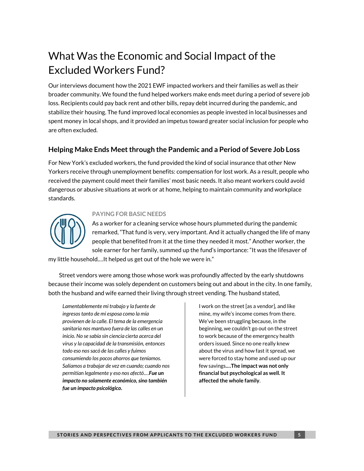# What Was the Economic and Social Impact of the Excluded Workers Fund?

Our interviews document how the 2021 EWF impacted workers and their families as well as their broader community. We found the fund helped workers make ends meet during a period of severe job loss. Recipients could pay back rent and other bills, repay debt incurred during the pandemic, and stabilize their housing. The fund improved local economies as people invested in local businesses and spent money in local shops, and it provided an impetus toward greater social inclusion for people who are often excluded.

### **Helping Make Ends Meet through the Pandemic and a Period of Severe Job Loss**

For New York's excluded workers, the fund provided the kind of social insurance that other New Yorkers receive through unemployment benefits: compensation for lost work. As a result, people who received the payment could meet their families' most basic needs. It also meant workers could avoid dangerous or abusive situations at work or at home, helping to maintain community and workplace standards.



#### **PAYING FOR BASIC NEEDS**

As a worker for a cleaning service whose hours plummeted during the pandemic remarked, "That fund is very, very important. And it actually changed the life of many people that benefited from it at the time they needed it most." Another worker, the sole earner for her family, summed up the fund's importance: "It was the lifesaver of

my little household.…It helped us get out of the hole we were in."

Street vendors were among those whose work was profoundly affected by the early shutdowns because their income was solely dependent on customers being out and about in the city. In one family, both the husband and wife earned their living through street vending. The husband stated,

*Lamentablemente mi trabajo y la fuente de ingresos tanto de mi esposa como la mía provienen de la calle. El tema de la emergencia sanitaria nos mantuvo fuera de las calles en un inicio. No se sabía sin ciencia cierta acerca del virus y la capacidad de la transmisión, entonces todo eso nos sacó de las calles y fuimos consumiendo los pocos ahorros que teníamos. Salíamos a trabajar de vez en cuando; cuando nos permitían legalmente y eso nos afectó.…Fue un impacto no solamente económico, sino también fue un impacto psicológico.*

I work on the street [as a vendor], and like mine, my wife's income comes from there. We've been struggling because, in the beginning, we couldn't go out on the street to work because of the emergency health orders issued. Since no one really knew about the virus and how fast it spread, we were forced to stay home and used up our few savings**.…The impact was not only financial but psychological as well. It affected the whole family**.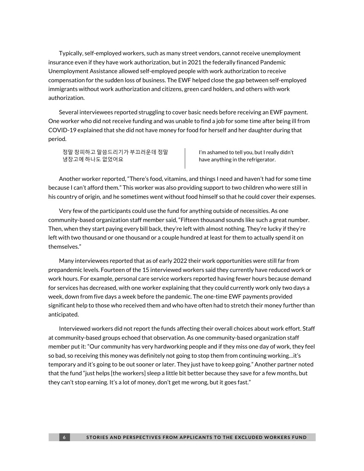Typically, self-employed workers, such as many street vendors, cannot receive unemployment insurance even if they have work authorization, but in 2021 the federally financed Pandemic Unemployment Assistance allowed self-employed people with work authorization to receive compensation for the sudden loss of business. The EWF helped close the gap between self-employed immigrants without work authorization and citizens, green card holders, and others with work authorization.

Several interviewees reported struggling to cover basic needs before receiving an EWF payment. One worker who did not receive funding and was unable to find a job for some time after being ill from COVID-19 explained that she did not have money for food for herself and her daughter during that period.

정말 창피하고 말씀드리기가 부끄러운데 정말 냉장고에 하나도 없었어요

I'm ashamed to tell you, but I really didn't have anything in the refrigerator.

Another worker reported, "There's food, vitamins, and things I need and haven't had for some time because I can't afford them." This worker was also providing support to two children who were still in his country of origin, and he sometimes went without food himself so that he could cover their expenses.

Very few of the participants could use the fund for anything outside of necessities. As one community-based organization staff member said, "Fifteen thousand sounds like such a great number. Then, when they start paying every bill back, they're left with almost nothing. They're lucky if they're left with two thousand or one thousand or a couple hundred at least for them to actually spend it on themselves."

Many interviewees reported that as of early 2022 their work opportunities were still far from prepandemic levels. Fourteen of the 15 interviewed workers said they currently have reduced work or work hours. For example, personal care service workers reported having fewer hours because demand for services has decreased, with one worker explaining that they could currently work only two days a week, down from five days a week before the pandemic. The one-time EWF payments provided significant help to those who received them and who have often had to stretch their money further than anticipated.

Interviewed workers did not report the funds affecting their overall choices about work effort. Staff at community-based groups echoed that observation. As one community-based organization staff member put it: "Our community has very hardworking people and if they miss one day of work, they feel so bad, so receiving this money was definitely not going to stop them from continuing working…it's temporary and it's going to be out sooner or later. They just have to keep going." Another partner noted that the fund "just helps [the workers] sleep a little bit better because they save for a few months, but they can't stop earning. It's a lot of money, don't get me wrong, but it goes fast."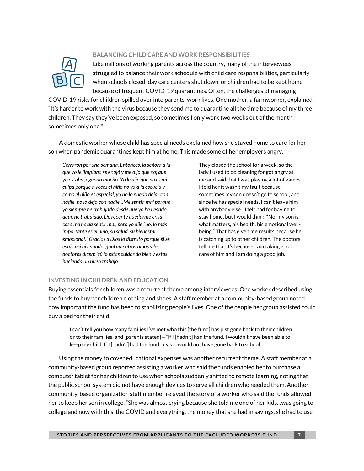

#### **BALANCING CHILD CARE AND WORK RESPONSIBILITIES**

Like millions of working parents across the country, many of the interviewees struggled to balance their work schedule with child care responsibilities, particularly when schools closed, day care centers shut down, or children had to be kept home because of frequent COVID-19 quarantines. Often, the challenges of managing

COVID-19 risks for children spilled over into parents' work lives. One mother, a farmworker, explained, "It's harder to work with the virus because they send me to quarantine all the time because of my three children. They say they've been exposed, so sometimes I only work two weeks out of the month, sometimes only one."

A domestic worker whose child has special needs explained how she stayed home to care for her son when pandemic quarantines kept him at home. This made some of her employers angry.

*Cerraron por una semana. Entonces, la señora a la que yo le limpiaba se enojó y me dijo que no; que yo estaba jugando mucho. Yo le dije que no es mi culpa porque a veces el niño no va a la escuela y como el niño es especial, yo no lo puedo dejar con nadie, no lo dejo con nadie…Me sentía mal porque yo siempre he trabajado desde que yo he llegado aquí, he trabajado. De repente quedarme en la casa me hacía sentir mal, pero yo dije "no, lo más importante es el niño, su salud, su bienestar emocional." Gracias a Dios lo disfruto porque él se está casi nivelando igual que otros niños y los doctores dicen: "tú lo estas cuidando bien y estas hacienda un buen trabajo.*

They closed the school for a week, so the lady I used to do cleaning for got angry at me and said that I was playing a lot of games. I told her it wasn't my fault because sometimes my son doesn't go to school, and since he has special needs, I can't leave him with anybody else…I felt bad for having to stay home, but I would think, "No, my son is what matters, his health, his emotional wellbeing." That has given me results because he is catching up to other children. The doctors tell me that it's because I am taking good care of him and I am doing a good job.

#### **INVESTING IN CHILDREN AND EDUCATION**

Buying essentials for children was a recurrent theme among interviewees. One worker described using the funds to buy her children clothing and shoes. A staff member at a community-based group noted how important the fund has been to stabilizing people's lives. One of the people her group assisted could buy a bed for their child.

I can't tell you how many families I've met who this [the fund] has just gone back to their children or to their families, and [parents stated]—"If I [hadn't] had the fund, I wouldn't have been able to keep my child. If I [hadn't] had the fund, my kid would not have gone back to school.

Using the money to cover educational expenses was another recurrent theme. A staff member at a community-based group reported assisting a worker who said the funds enabled her to purchase a computer tablet for her children to use when schools suddenly shifted to remote learning, noting that the public school system did not have enough devices to serve all children who needed them. Another community-based organization staff member relayed the story of a worker who said the funds allowed her to keep her son in college. "She was almost crying because she told me one of her kids…was going to college and now with this, the COVID and everything, the money that she had in savings, she had to use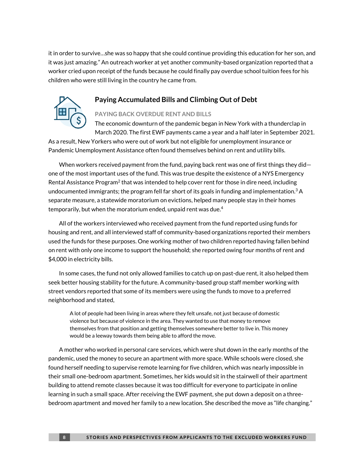it in order to survive…she was so happy that she could continue providing this education for her son, and it was just amazing." An outreach worker at yet another community-based organization reported that a worker cried upon receipt of the funds because he could finally pay overdue school tuition fees for his children who were still living in the country he came from.



### **Paying Accumulated Bills and Climbing Out of Debt**

#### **PAYING BACK OVERDUE RENT AND BILLS**

<span id="page-7-2"></span><span id="page-7-1"></span><span id="page-7-0"></span>The economic downturn of the pandemic began in New York with a thunderclap in March 2020. The first EWF payments came a year and a half later in September 2021.

As a result, New Yorkers who were out of work but not eligible for unemployment insurance or Pandemic Unemployment Assistance often found themselves behind on rent and utility bills.

When workers received payment from the fund, paying back rent was one of first things they did one of the most important uses of the fund. This was true despite the existence of a NYS Emergency Rental Assistance Progra[m](#page-16-1) $^2$  that was intended to help cover rent for those in dire need, including undocumented immigrants; the program fell far short of its goals in funding and implementation. $^3$  $^3$  A separate measure, a statewide moratorium on evictions, helped many people stay in their homes temporarily, but when the moratorium ended, unpaid rent was due.<sup>[4](#page-16-3)</sup>

All of the workers interviewed who received payment from the fund reported using funds for housing and rent, and all interviewed staff of community-based organizations reported their members used the funds for these purposes. One working mother of two children reported having fallen behind on rent with only one income to support the household; she reported owing four months of rent and \$4,000 in electricity bills.

In some cases, the fund not only allowed families to catch up on past-due rent, it also helped them seek better housing stability for the future. A community-based group staff member working with street vendors reported that some of its members were using the funds to move to a preferred neighborhood and stated,

A lot of people had been living in areas where they felt unsafe, not just because of domestic violence but because of violence in the area. They wanted to use that money to remove themselves from that position and getting themselves somewhere better to live in. This money would be a leeway towards them being able to afford the move.

A mother who worked in personal care services, which were shut down in the early months of the pandemic, used the money to secure an apartment with more space. While schools were closed, she found herself needing to supervise remote learning for five children, which was nearly impossible in their small one-bedroom apartment. Sometimes, her kids would sit in the stairwell of their apartment building to attend remote classes because it was too difficult for everyone to participate in online learning in such a small space. After receiving the EWF payment, she put down a deposit on a threebedroom apartment and moved her family to a new location. She described the move as "life changing."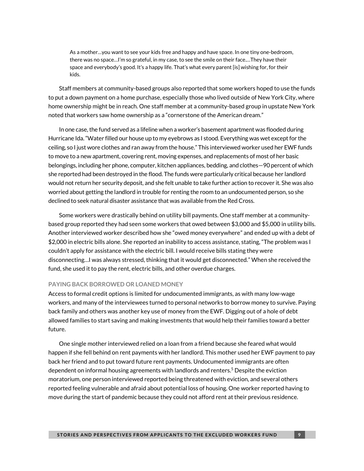As a mother…you want to see your kids free and happy and have space. In one tiny one-bedroom, there was no space…I'm so grateful, in my case, to see the smile on their face.…They have their space and everybody's good. It's a happy life. That's what every parent [is] wishing for, for their kids.

Staff members at community-based groups also reported that some workers hoped to use the funds to put a down payment on a home purchase, especially those who lived outside of New York City, where home ownership might be in reach. One staff member at a community-based group in upstate New York noted that workers saw home ownership as a "cornerstone of the American dream."

In one case, the fund served as a lifeline when a worker's basement apartment was flooded during Hurricane Ida."Water filled our house up to my eyebrows as I stood. Everything was wet exceptfor the ceiling, so I just wore clothes and ran away from the house." This interviewed worker used her EWF funds to move to a new apartment, covering rent, moving expenses, and replacements of most of her basic belongings, including her phone, computer, kitchen appliances, bedding, and clothes—90 percent of which she reported had been destroyed in the flood. The funds were particularly critical because her landlord would not return her security deposit, and she felt unable to take further action to recover it. She was also worried about getting the landlord in trouble for renting the room to an undocumented person, so she declined to seek natural disaster assistance that was available from the Red Cross.

Some workers were drastically behind on utility bill payments. One staff member at a communitybased group reported they had seen some workers that owed between \$3,000 and \$5,000 in utility bills. Another interviewed worker described how she "owed money everywhere" and ended up with a debt of \$2,000 in electric bills alone. She reported an inability to access assistance, stating, "The problem was I couldn't apply for assistance with the electric bill. I would receive bills stating they were disconnecting…I was always stressed, thinking that it would get disconnected." When she received the fund, she used it to pay the rent, electric bills, and other overdue charges.

#### **PAYING BACK BORROWED OR LOANED MONEY**

Access to formal credit options is limited for undocumented immigrants, as with many low-wage workers, and many of the interviewees turned to personal networks to borrow money to survive. Paying back family and others was another key use of money from the EWF. Digging out of a hole of debt allowed families to start saving and making investments that would help their families toward a better future.

One single mother interviewed relied on a loan from a friend because she feared what would happen if she fell behind on rent payments with her landlord. This mother used her EWF payment to pay back her friend and to put toward future rent payments. Undocumented immigrants are often dependent on informal housing agreements with landlords and renters.<sup>[5](#page-16-4)</sup> Despite the eviction moratorium, one person interviewed reported being threatened with eviction, and several others reported feeling vulnerable and afraid about potential loss of housing. One worker reported having to move during the start of pandemic because they could not afford rent at their previous residence.

<span id="page-8-0"></span>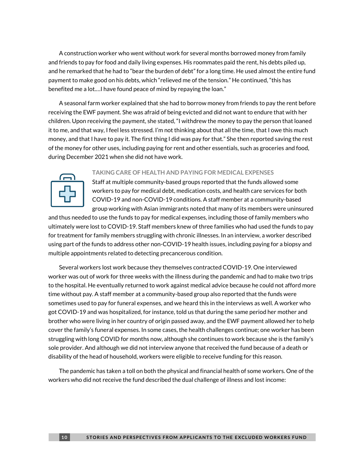A construction worker who went without work for several months borrowed money from family and friends to pay for food and daily living expenses. His roommates paid the rent, his debts piled up, and he remarked that he had to "bear the burden of debt" for a long time. He used almost the entire fund payment to make good on his debts, which "relieved me of the tension." He continued, "this has benefited me a lot.…I have found peace of mind by repaying the loan."

A seasonal farm worker explained that she had to borrow money from friends to pay the rent before receiving the EWF payment. She was afraid of being evicted and did not want to endure that with her children. Upon receiving the payment, she stated, "I withdrew the money to pay the person that loaned it to me, and that way, I feel less stressed. I'm not thinking about that all the time, that I owe this much money, and that I have to pay it. The first thing I did was pay for that." She then reported saving the rest of the money for other uses, including paying for rent and other essentials, such as groceries and food, during December 2021 when she did not have work.



#### **TAKING CARE OF HEALTH AND PAYING FOR MEDICAL EXPENSES**

Staff at multiple community-based groups reported that the funds allowed some workers to pay for medical debt, medication costs, and health care services for both COVID-19 and non-COVID-19 conditions. A staff member at a community-based group working with Asian immigrants noted that many of its members were uninsured

and thus needed to use the funds to pay for medical expenses, including those of family members who ultimately were lost to COVID-19. Staff members knew of three families who had used the funds to pay for treatment for family members struggling with chronic illnesses. In an interview, a worker described using part of the funds to address other non-COVID-19 health issues, including paying for a biopsy and multiple appointments related to detecting precancerous condition.

Several workers lost work because they themselves contracted COVID-19. One interviewed worker was out of work for three weeks with the illness during the pandemic and had to make two trips to the hospital. He eventually returned to work against medical advice because he could not afford more time without pay. A staff member at a community-based group also reported that the funds were sometimes used to pay for funeral expenses, and we heard this in the interviews as well. A worker who got COVID-19 and was hospitalized, for instance, told us that during the same period her mother and brother who were living in her country of origin passed away, and the EWF payment allowed her to help cover the family's funeral expenses. In some cases, the health challenges continue; one worker has been struggling with long COVID for months now, although she continues to work because she is the family's sole provider. And although we did not interview anyone that received the fund because of a death or disability of the head of household, workers were eligible to receive funding for this reason.

The pandemic has taken a toll on both the physical and financial health of some workers. One of the workers who did not receive the fund described the dual challenge of illness and lost income: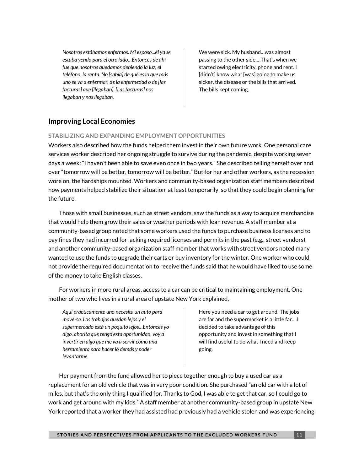*Nosotros estábamos enfermos. Mi esposo...él ya se estaba yendo para el otro lado…Entonces de ahí fue que nosotros quedamos debiendo la luz, el teléfono, la renta. No [sabía] de qué es lo que más uno se va a enfermar, de la enfermedad o de [las facturas] que [llegaban]. [Las facturas] nos llegaban y nos llegaban.*

We were sick. My husband…was almost passing to the other side.…That's when we started owing electricity, phone and rent. I [didn't] know what [was] going to make us sicker, the disease or the bills that arrived. The bills kept coming.

### **Improving Local Economies**

#### **STABILIZING AND EXPANDING EMPLOYMENT OPPORTUNITIES**

Workers also described how the funds helped them invest in their own future work. One personal care services worker described her ongoing struggle to survive during the pandemic, despite working seven days a week: "I haven't been able to save even once in two years." She described telling herself over and over "tomorrow will be better, tomorrow will be better." But for her and other workers, as the recession wore on, the hardships mounted. Workers and community-based organization staff members described how payments helped stabilize their situation, at least temporarily, so that they could begin planning for the future.

Those with small businesses, such as street vendors, saw the funds as a way to acquire merchandise that would help them grow their sales or weather periods with lean revenue. A staff member at a community-based group noted that some workers used the funds to purchase business licenses and to pay fines they had incurred for lacking required licenses and permits in the past (e.g., street vendors), and another community-based organization staff member that works with street vendors noted many wanted to use the funds to upgrade their carts or buy inventory for the winter. One worker who could not provide the required documentation to receive the funds said that he would have liked to use some of the money to take English classes.

For workers in more rural areas, access to a car can be critical to maintaining employment. One mother of two who lives in a rural area of upstate New York explained,

*Aquí prácticamente uno necesita un auto para moverse. Los trabajos quedan lejos y el supermercado está un poquito lejos…Entonces yo digo, ahorita que tengo esta oportunidad, voy a invertir en algo que me va a servir como una herramienta para hacer lo demás y poder levantarme.*

Here you need a car to get around. The jobs are far and the supermarket is a little far.…I decided to take advantage of this opportunity and invest in something that I will find useful to do what I need and keep going.

Her payment from the fund allowed her to piece together enough to buy a used car as a replacement for an old vehicle that was in very poor condition. She purchased "an old car with a lot of miles, but that's the only thing I qualified for. Thanks to God, I was able to get that car, so I could go to work and get around with my kids." A staff member at another community-based group in upstate New York reported that a worker they had assisted had previously had a vehicle stolen and was experiencing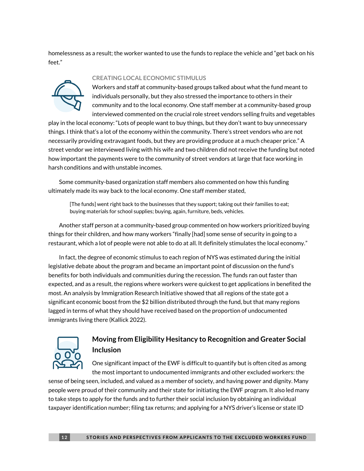homelessness as a result; the worker wanted to use the funds to replace the vehicle and "get back on his feet."



#### **CREATING LOCAL ECONOMIC STIMULUS**

Workers and staff at community-based groups talked about what the fund meant to individuals personally, but they also stressed the importance to others in their community and to the local economy. One staff member at a community-based group interviewed commented on the crucial role street vendors selling fruits and vegetables

play in the local economy: "Lots of people want to buy things, but they don't want to buy unnecessary things. I think that's a lot of the economy within the community. There's street vendors who are not necessarily providing extravagant foods, but they are providing produce at a much cheaper price." A street vendor we interviewed living with his wife and two children did not receive the funding but noted how important the payments were to the community of street vendors at large that face working in harsh conditions and with unstable incomes.

Some community-based organization staff members also commented on how this funding ultimately made its way back to the local economy. One staff member stated,

[The funds] went right back to the businesses that they support; taking out their families to eat; buying materials for school supplies; buying, again, furniture, beds, vehicles.

Another staff person at a community-based group commented on how workers prioritized buying things for their children, and how many workers "finally [had] some sense of security in going to a restaurant, which a lot of people were not able to do at all. It definitely stimulates the local economy."

In fact, the degree of economic stimulus to each region of NYS was estimated during the initial legislative debate about the program and became an important point of discussion on the fund's benefits for both individuals and communities during the recession. The funds ran out faster than expected, and as a result, the regions where workers were quickest to get applications in benefited the most. An analysis by Immigration Research Initiative showed that all regions of the state got a significant economic boost from the \$2 billion distributed through the fund, but that many regions lagged in terms of what they should have received based on the proportion of undocumented immigrants living there (Kallick 2022).



### **Moving from Eligibility Hesitancy to Recognition and Greater Social Inclusion**

One significant impact of the EWF is difficult to quantify but is often cited as among the most important to undocumented immigrants and other excluded workers: the

sense of being seen, included, and valued as a member of society, and having power and dignity. Many people were proud of their community and their state for initiating the EWF program. It also led many to take steps to apply for the funds and to further their social inclusion by obtaining an individual taxpayer identification number; filing tax returns; and applying for a NYS driver's license or state ID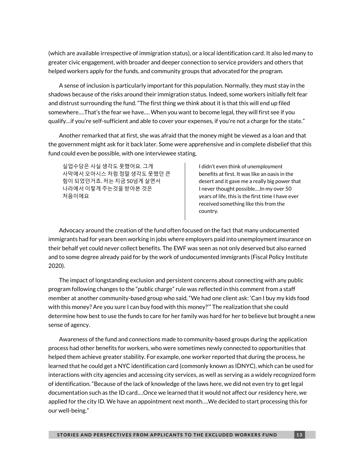(which are available irrespective of immigration status), or a local identification card. It also led many to greater civic engagement, with broader and deeper connection to service providers and others that helped workers apply for the funds, and community groups that advocated for the program.

A sense of inclusion is particularly important for this population. Normally, they must stay in the shadows because of the risks around their immigration status. Indeed, some workers initially felt fear and distrust surrounding the fund. "The first thing we think about it is that this will end up filed somewhere.…That's the fear we have.… When you want to become legal, they will first see if you qualify…if you're self-sufficient and able to cover your expenses, if you're not a charge for the state."

Another remarked that at first, she was afraid that the money might be viewed as a loan and that the government might ask for it back later. Some were apprehensive and in complete disbelief that this fund could even be possible, with one interviewee stating,

실업수당은 사실 생각도 못했어요. 그게 사막에서 오아시스 처럼 정말 생각도 못했던 큰 힘이 되었던거죠. 저는 지금 50넘게 살면서 나라에서 이렇게 주는것을 받아본 것은 처음이에요

I didn't even think of unemployment benefits at first. It was like an oasis in the desert and it gave me a really big power that I never thought possible.…In my over 50 years of life, this is the first time I have ever received something like this from the country.

Advocacy around the creation of the fund often focused on the fact that many undocumented immigrants had for years been working in jobs where employers paid into unemployment insurance on their behalf yet could never collect benefits. The EWF was seen as not only deserved but also earned and to some degree already paid for by the work of undocumented immigrants (Fiscal Policy Institute 2020).

The impact of longstanding exclusion and persistent concerns about connecting with any public program following changes to the "public charge" rule was reflected in this comment from a staff member at another community-based group who said, "We had one client ask: 'Can I buy my kids food with this money? Are you sure I can buy food with this money?'" The realization that she could determine how best to use the funds to care for her family was hard for her to believe but brought a new sense of agency.

Awareness of the fund and connections made to community-based groups during the application process had other benefits for workers, who were sometimes newly connected to opportunities that helped them achieve greater stability. For example, one worker reported that during the process, he learned that he could get a NYC identification card (commonly known as IDNYC), which can be used for interactions with city agencies and accessing city services, as well as serving as a widely recognized form of identification. "Because of the lack of knowledge of the laws here, we did not even try to get legal documentation such as the ID card.…Once we learned that it would not affect our residency here, we applied for the city ID. We have an appointment next month….We decided to start processing this for our well-being."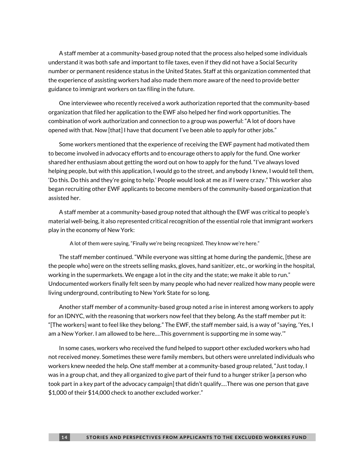A staff member at a community-based group noted that the process also helped some individuals understand it was both safe and important to file taxes, even if they did not have a Social Security number or permanent residence status in the United States. Staff at this organization commented that the experience of assisting workers had also made them more aware of the need to provide better guidance to immigrant workers on tax filing in the future.

One interviewee who recently received a work authorization reported that the community-based organization that filed her application to the EWF also helped her find work opportunities. The combination of work authorization and connection to a group was powerful: "A lot of doors have opened with that. Now [that] I have that document I've been able to apply for other jobs."

Some workers mentioned that the experience of receiving the EWF payment had motivated them to become involved in advocacy efforts and to encourage others to apply for the fund. One worker shared her enthusiasm about getting the word out on how to apply for the fund. "I've always loved helping people, but with this application, I would go to the street, and anybody I knew, I would tell them, 'Do this. Do this and they're going to help.' People would look at me as if I were crazy." This worker also began recruiting other EWF applicants to become members of the community-based organization that assisted her.

A staff member at a community-based group noted that although the EWF was critical to people's material well-being, it also represented critical recognition of the essential role that immigrant workers play in the economy of New York:

A lot of them were saying, "Finally we're being recognized. They know we're here."

The staff member continued. "While everyone was sitting at home during the pandemic, [these are the people who] were on the streets selling masks, gloves, hand sanitizer, etc., or working in the hospital, working in the supermarkets. We engage a lot in the city and the state; we make it able to run." Undocumented workers finally felt seen by many people who had never realized how many people were living underground, contributing to New York State for so long.

Another staff member of a community-based group noted a rise in interest among workers to apply for an IDNYC, with the reasoning that workers now feel that they belong. As the staff member put it: "[The workers] want to feel like they belong." The EWF, the staff member said, is a way of "saying, 'Yes, I am a New Yorker. I am allowed to be here.…This government is supporting me in some way.'"

In some cases, workers who received the fund helped to support other excluded workers who had not received money. Sometimes these were family members, but others were unrelated individuals who workers knew needed the help. One staff member at a community-based group related, "Just today, I was in a group chat, and they all organized to give part of their fund to a hunger striker [a person who took part in a key part of the advocacy campaign] that didn't qualify.…There was one person that gave \$1,000 of their \$14,000 check to another excluded worker."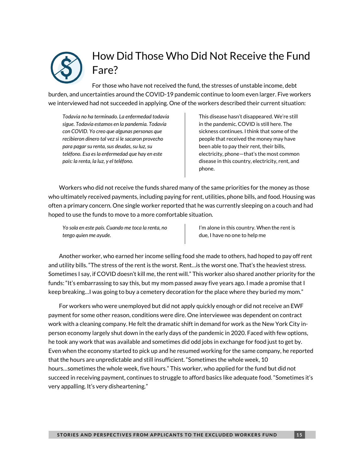

# How Did Those Who Did Not Receive the Fund Fare?

For those who have not received the fund, the stresses of unstable income, debt burden, and uncertainties around the COVID-19 pandemic continue to loom even larger. Five workers we interviewed had not succeeded in applying. One of the workers described their current situation:

*Todavía no ha terminado. La enfermedad todavía sigue. Todavía estamos en la pandemia. Todavía con COVID. Yo creo que algunas personas que recibieron dinero tal vez si le sacaron provecho para pagar su renta, sus deudas, su luz, su teléfono. Esa es la enfermedad que hay en este país: la renta, la luz, y el teléfono.*

This disease hasn't disappeared. We're still in the pandemic. COVID is still here. The sickness continues. I think that some of the people that received the money may have been able to pay their rent, their bills, electricity, phone—that's the most common disease in this country, electricity, rent, and phone.

Workers who did not receive the funds shared many of the same priorities for the money as those who ultimately received payments, including paying for rent, utilities, phone bills, and food. Housing was often a primary concern. One single worker reported that he was currently sleeping on a couch and had hoped to use the funds to move to a more comfortable situation.

*Yo sola en este país. Cuando me toca la renta, no tengo quien me ayude.*

I'm alone in this country. When the rent is due, I have no one to help me

Another worker, who earned her income selling food she made to others, had hoped to pay off rent and utility bills. "The stress of the rent is the worst. Rent…is the worst one. That's the heaviest stress. Sometimes I say, if COVID doesn't kill me, the rent will." This worker also shared another priority for the funds: "It's embarrassing to say this, but my mom passed away five years ago. I made a promise that I keep breaking…I was going to buy a cemetery decoration for the place where they buried my mom."

For workers who were unemployed but did not apply quickly enough or did not receive an EWF payment for some other reason, conditions were dire. One interviewee was dependent on contract work with a cleaning company. He felt the dramatic shift in demand for work as the New York City inperson economy largely shut down in the early days of the pandemic in 2020. Faced with few options, he took any work that was available and sometimes did odd jobs in exchange for food just to get by. Even when the economy started to pick up and he resumed working for the same company, he reported that the hours are unpredictable and still insufficient. "Sometimes the whole week, 10 hours…sometimes the whole week, five hours." This worker, who applied for the fund but did not succeed in receiving payment, continues to struggle to afford basics like adequate food. "Sometimes it's very appalling. It's very disheartening."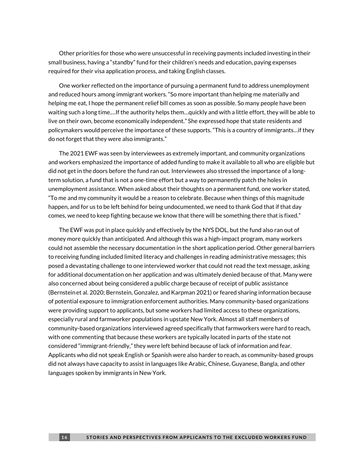Other priorities for those who were unsuccessful in receiving payments included investing in their small business, having a "standby" fund for their children's needs and education, paying expenses required for their visa application process, and taking English classes.

One worker reflected on the importance of pursuing a permanent fund to address unemployment and reduced hours among immigrant workers. "So more important than helping me materially and helping me eat, I hope the permanent relief bill comes as soon as possible. So many people have been waiting such a long time.…If the authority helps them…quickly and with a little effort, they will be able to live on their own, become economically independent." She expressed hope that state residents and policymakers would perceive the importance of these supports. "This is a country of immigrants…if they do not forget that they were also immigrants."

The 2021 EWF was seen by interviewees as extremely important, and community organizations and workers emphasized the importance of added funding to make it available to all who are eligible but did not get in the doors before the fund ran out. Interviewees also stressed the importance of a longterm solution, a fund that is not a one-time effort but a way to permanently patch the holes in unemployment assistance. When asked about their thoughts on a permanent fund, one worker stated, "To me and my community it would be a reason to celebrate. Because when things of this magnitude happen, and for us to be left behind for being undocumented, we need to thank God that if that day comes, we need to keep fighting because we know that there will be something there that is fixed."

The EWF was put in place quickly and effectively by the NYS DOL, but the fund also ran out of money more quickly than anticipated. And although this was a high-impact program, many workers could not assemble the necessary documentation in the short application period. Other general barriers to receiving funding included limited literacy and challenges in reading administrative messages; this posed a devastating challenge to one interviewed worker that could not read the text message, asking for additional documentation on her application and was ultimately denied because of that. Many were also concerned about being considered a public charge because of receipt of public assistance (Bernsteinet al. 2020; Bernstein, Gonzalez, and Karpman 2021) or feared sharing information because of potential exposure to immigration enforcement authorities. Many community-based organizations were providing support to applicants, but some workers had limited access to these organizations, especially rural and farmworker populations in upstate New York. Almost all staff members of community-based organizations interviewed agreed specifically that farmworkers were hard to reach, with one commenting that because these workers are typically located in parts of the state not considered "immigrant-friendly," they were left behind because of lack of information and fear. Applicants who did not speak English or Spanish were also harder to reach, as community-based groups did not always have capacity to assist in languages like Arabic, Chinese, Guyanese, Bangla, and other languages spoken by immigrants in New York.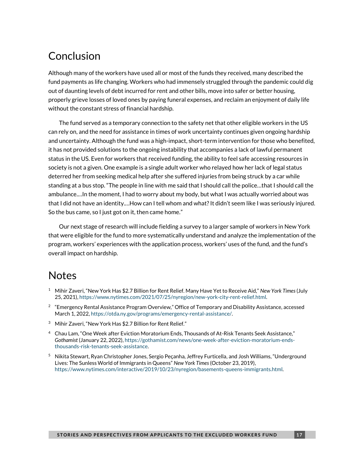# **Conclusion**

Although many of the workers have used all or most of the funds they received, many described the fund payments as life changing. Workers who had immensely struggled through the pandemic could dig out of daunting levels of debt incurred for rent and other bills, move into safer or better housing, properly grieve losses of loved ones by paying funeral expenses, and reclaim an enjoyment of daily life without the constant stress of financial hardship.

The fund served as a temporary connection to the safety net that other eligible workers in the US can rely on, and the need for assistance in times of work uncertainty continues given ongoing hardship and uncertainty. Although the fund was a high-impact, short-term intervention for those who benefited, it has not provided solutions to the ongoing instability that accompanies a lack of lawful permanent status in the US. Even for workers that received funding, the ability to feel safe accessing resources in society is not a given. One example is a single adult worker who relayed how her lack of legal status deterred her from seeking medical help after she suffered injuries from being struck by a car while standing at a bus stop. "The people in line with me said that I should call the police…that I should call the ambulance.…In the moment, I had to worry about my body, but what I was actually worried about was that I did not have an identity.…How can I tell whom and what?It didn't seem like I was seriously injured. So the bus came, so I just got on it, then came home."

Our next stage of research will include fielding a survey to a larger sample of workers in New York that were eligible for the fund to more systematically understand and analyze the implementation of the program, workers' experiences with the application process, workers' uses of the fund, and the fund's overall impact on hardship.

### **Notes**

- <span id="page-16-0"></span>[1](#page-3-0) Mihir Zaveri, "New York Has \$2.7 Billion for Rent Relief. Many Have Yet to Receive Aid," *New York Times*(July 25, 2021)[, https://www.nytimes.com/2021/07/25/nyregion/new-york-city-rent-relief.html.](https://www.nytimes.com/2021/07/25/nyregion/new-york-city-rent-relief.html)
- <span id="page-16-1"></span> $^2$  $^2$  "Emergency Rental Assistance Program Overview," Office of Temporary and Disability Assistance, accessed March 1, 2022, [https://otda.ny.gov/programs/emergency-rental-assistance/.](https://otda.ny.gov/programs/emergency-rental-assistance/)
- <span id="page-16-2"></span><sup>[3](#page-7-1)</sup> Mihir Zaveri, "New York Has \$2.7 Billion for Rent Relief."
- <span id="page-16-3"></span>[4](#page-7-2) Chau Lam, "One Week after Eviction Moratorium Ends, Thousands of At-Risk Tenants Seek Assistance," *Gothamist* (January 22, 2022)[, https://gothamist.com/news/one-week-after-eviction-moratorium-ends](https://gothamist.com/news/one-week-after-eviction-moratorium-ends-thousands-risk-tenants-seek-assistance)[thousands-risk-tenants-seek-assistance.](https://gothamist.com/news/one-week-after-eviction-moratorium-ends-thousands-risk-tenants-seek-assistance)
- <span id="page-16-4"></span>[5](#page-8-0) Nikita Stewart, Ryan Christopher Jones, Sergio Peçanha, Jeffrey Furticella, and Josh Williams, "Underground Lives: The Sunless World of Immigrants in Queens" *New York Times* (October 23, 2019), [https://www.nytimes.com/interactive/2019/10/23/nyregion/basements-queens-immigrants.html.](https://www.nytimes.com/interactive/2019/10/23/nyregion/basements-queens-immigrants.html)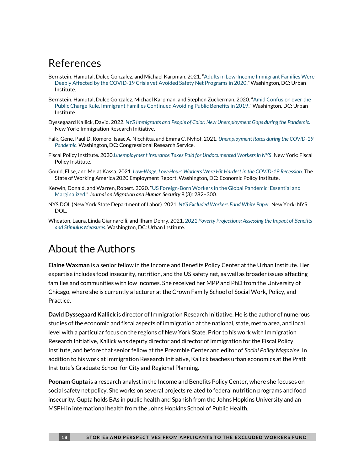### References

- Bernstein, Hamutal, Dulce Gonzalez, and Michael Karpman. 2021. "[Adults in Low-Income Immigrant Families Were](https://www.urban.org/research/publication/adults-low-income-immigrant-families-were-deeply-affected-covid-19-crisis-yet-avoided-safety-net-programs-2020)  [Deeply Affected by the COVID-19 Crisis yet Avoided Safety Net Programs in 2020](https://www.urban.org/research/publication/adults-low-income-immigrant-families-were-deeply-affected-covid-19-crisis-yet-avoided-safety-net-programs-2020)." Washington, DC: Urban Institute.
- Bernstein, Hamutal, Dulce Gonzalez, Michael Karpman, and Stephen Zuckerman. 2020. "[Amid Confusion over the](https://www.urban.org/sites/default/files/publication/102221/amid-confusion-over-the-public-charge-rule-immigrant-families-continued-avoiding-public-benefits-in-2019_3.pdf)  [Public Charge Rule, Immigrant Families Continued Avoiding Public Benefits in 2019](https://www.urban.org/sites/default/files/publication/102221/amid-confusion-over-the-public-charge-rule-immigrant-families-continued-avoiding-public-benefits-in-2019_3.pdf)." Washington, DC: Urban Institute.
- Dyssegaard Kallick, David. 2022. *[NYS Immigrants and People of Color: New Unemployment Gaps during the Pandemic.](https://immresearch.org/downloads/NYS-Immigrants-and-Unemployment-Through-Recessions.pdf)* New York: Immigration Research Initiative.
- Falk, Gene, Paul D. Romero, Isaac A. Nicchitta, and Emma C. Nyhof. 2021. *[Unemployment Rates during the COVID-19](https://sgp.fas.org/crs/misc/R46554.pdf)  [Pandemic](https://sgp.fas.org/crs/misc/R46554.pdf)*. Washington, DC: Congressional Research Service.
- Fiscal Policy Institute. 2020.*[Unemployment Insurance Taxes Paid for Undocumented Workers in NYS](http://fiscalpolicy.org/wp-content/uploads/2020/05/Unemployment-Insurance-Taxes-Paid-for-Undocumented-Workers-in-NYS.pdf)*. New York: Fiscal Policy Institute.
- Gould, Elise, and Melat Kassa. 2021. *[Low-Wage, Low-Hours Workers Were Hit Hardest in the COVID-19 Recession](https://www.epi.org/publication/swa-2020-employment-report/)*. The State of Working America 2020 Employment Report. Washington, DC: Economic Policy Institute.
- Kerwin, Donald, and Warren, Robert. 2020. "[US Foreign-Born Workers in the Global Pandemic: Essential and](https://doi.org/10.1177/2331502420952752)  [Marginalized](https://doi.org/10.1177/2331502420952752)." *Journal on Migration and Human Security* 8 (3): 282–300.
- NYS DOL (New York State Department of Labor). 2021. *[NYS Excluded Workers Fund White Paper](https://dol.ny.gov/system/files/documents/2022/01/nys-ewf-whitepaper-november21_01-26-22_0.pdf)*. New York: NYS DOL.
- Wheaton, Laura, Linda Giannarelli, and Ilham Dehry. 2021. *[2021 Poverty Projections: Assessing the Impact of Benefits](https://www.urban.org/sites/default/files/publication/104603/2021-poverty-projections_0_0.pdf)  [and Stimulus Measures](https://www.urban.org/sites/default/files/publication/104603/2021-poverty-projections_0_0.pdf)*. Washington, DC: Urban Institute.

## About the Authors

**Elaine Waxman** is a senior fellow in the Income and Benefits Policy Center at the Urban Institute. Her expertise includes food insecurity, nutrition, and the US safety net, as well as broader issues affecting families and communities with low incomes. She received her MPP and PhD from the University of Chicago, where she is currently a lecturer at the Crown Family School of Social Work, Policy, and Practice.

**David Dyssegaard Kallick** is director of Immigration Research Initiative. He is the author of numerous studies of the economic and fiscal aspects of immigration at the national, state, metro area, and local level with a particular focus on the regions of New York State. Prior to his work with Immigration Research Initiative, Kallick was deputy director and director of immigration for the Fiscal Policy Institute, and before that senior fellow at the Preamble Center and editor of *Social Policy Magazine.* In addition to his work at Immigration Research Initiative, Kallick teaches urban economics at the Pratt Institute's Graduate School for City and Regional Planning.

**Poonam Gupta** is a research analyst in the Income and Benefits Policy Center, where she focuses on social safety net policy. She works on several projects related to federal nutrition programs and food insecurity. Gupta holds BAs in public health and Spanish from the Johns Hopkins University and an MSPH in international health from the Johns Hopkins School of Public Health.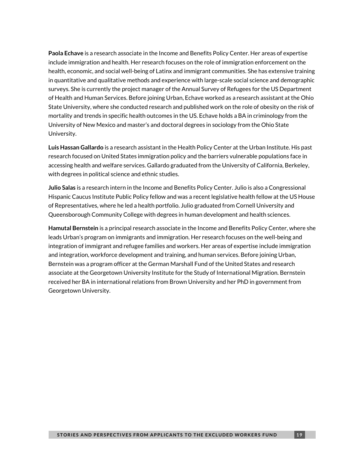**Paola Echave** is a research associate in the Income and Benefits Policy Center. Her areas of expertise include immigration and health. Her research focuses on the role of immigration enforcement on the health, economic, and social well-being of Latinx and immigrant communities. She has extensive training in quantitative and qualitative methods and experience with large-scale social science and demographic surveys. She is currently the project manager of the Annual Survey of Refugees for the US Department of Health and Human Services. Before joining Urban, Echave worked as a research assistant at the Ohio State University, where she conducted research and published work on the role of obesity on the risk of mortality and trends in specific health outcomes in the US. Echave holds a BA in criminology from the University of New Mexico and master's and doctoral degrees in sociology from the Ohio State University.

**Luis Hassan Gallardo** is a research assistant in the Health Policy Center at the Urban Institute. His past research focused on United States immigration policy and the barriers vulnerable populations face in accessing health and welfare services. Gallardo graduated from the University of California, Berkeley, with degrees in political science and ethnic studies.

**Julio Salas** is a research intern in the Income and Benefits Policy Center. Julio is also a Congressional Hispanic Caucus Institute Public Policy fellow and was a recent legislative health fellow at the US House of Representatives, where he led a health portfolio. Julio graduated from Cornell University and Queensborough Community College with degrees in human development and health sciences.

**Hamutal Bernstein** is a principal research associate in the Income and Benefits Policy Center, where she leads Urban's program on immigrants and immigration. Her research focuses on the well-being and integration of immigrant and refugee families and workers. Her areas of expertise include immigration and integration, workforce development and training, and human services. Before joining Urban, Bernstein was a program officer at the German Marshall Fund of the United States and research associate at the Georgetown University Institute for the Study of International Migration. Bernstein received her BA in international relations from Brown University and her PhD in government from Georgetown University.